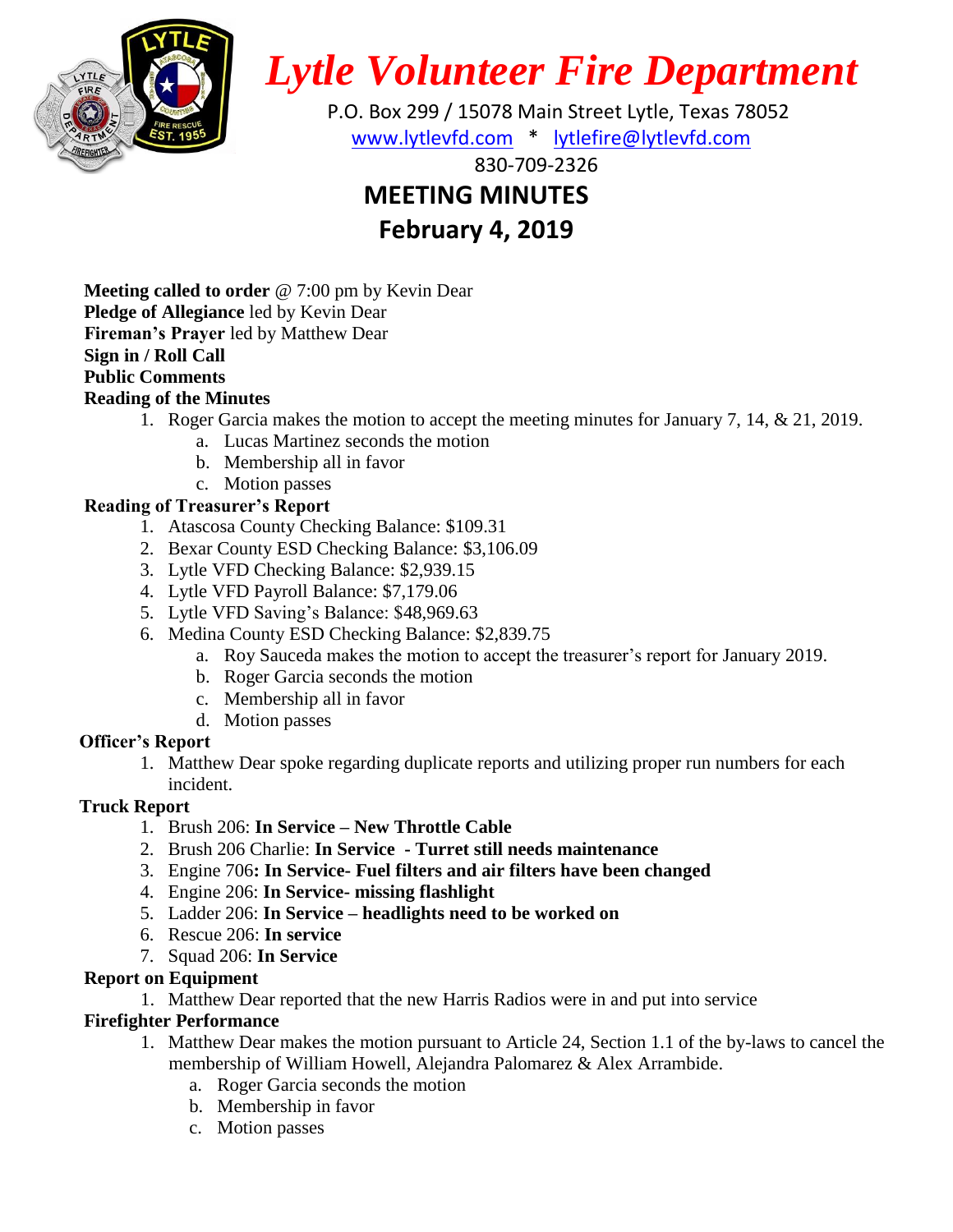

*Lytle Volunteer Fire Department*

 P.O. Box 299 / 15078 Main Street Lytle, Texas 78052 [www.lytlevfd.com](http://www.lytlevfd.com/) \* [lytlefire@lytlevfd.com](mailto:lytlefire@lytlevfd.com)

830-709-2326

# **MEETING MINUTES**

**February 4, 2019**

**Meeting called to order** @ 7:00 pm by Kevin Dear **Pledge of Allegiance** led by Kevin Dear **Fireman's Prayer** led by Matthew Dear **Sign in / Roll Call Public Comments**

# **Reading of the Minutes**

- 1. Roger Garcia makes the motion to accept the meeting minutes for January 7, 14, & 21, 2019.
	- a. Lucas Martinez seconds the motion
	- b. Membership all in favor
	- c. Motion passes

# **Reading of Treasurer's Report**

- 1. Atascosa County Checking Balance: \$109.31
- 2. Bexar County ESD Checking Balance: \$3,106.09
- 3. Lytle VFD Checking Balance: \$2,939.15
- 4. Lytle VFD Payroll Balance: \$7,179.06
- 5. Lytle VFD Saving's Balance: \$48,969.63
- 6. Medina County ESD Checking Balance: \$2,839.75
	- a. Roy Sauceda makes the motion to accept the treasurer's report for January 2019.
	- b. Roger Garcia seconds the motion
	- c. Membership all in favor
	- d. Motion passes

# **Officer's Report**

1. Matthew Dear spoke regarding duplicate reports and utilizing proper run numbers for each incident.

# **Truck Report**

- 1. Brush 206: **In Service – New Throttle Cable**
- 2. Brush 206 Charlie: **In Service - Turret still needs maintenance**
- 3. Engine 706**: In Service- Fuel filters and air filters have been changed**
- 4. Engine 206: **In Service- missing flashlight**
- 5. Ladder 206: **In Service – headlights need to be worked on**
- 6. Rescue 206: **In service**
- 7. Squad 206: **In Service**

# **Report on Equipment**

1. Matthew Dear reported that the new Harris Radios were in and put into service

# **Firefighter Performance**

- 1. Matthew Dear makes the motion pursuant to Article 24, Section 1.1 of the by-laws to cancel the membership of William Howell, Alejandra Palomarez & Alex Arrambide.
	- a. Roger Garcia seconds the motion
	- b. Membership in favor
	- c. Motion passes